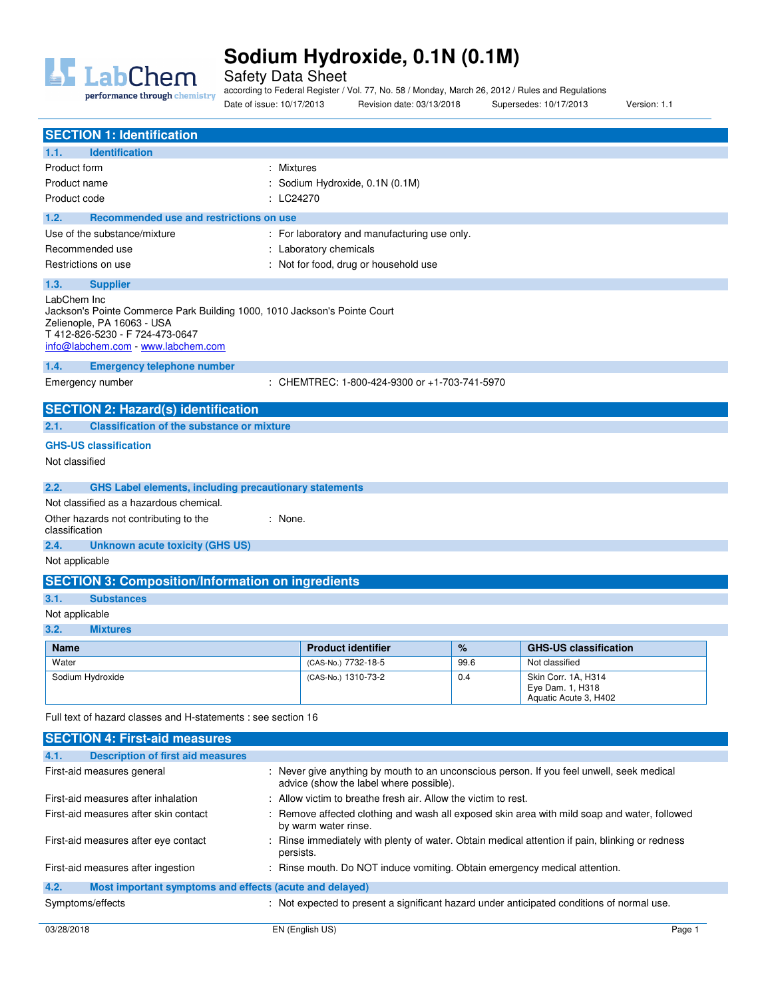

Safety Data Sheet

performance through chemistry

according to Federal Register / Vol. 77, No. 58 / Monday, March 26, 2012 / Rules and Regulations Date of issue: 10/17/2013 Revision date: 03/13/2018 Supersedes: 10/17/2013 Version: 1.1

| <b>SECTION 1: Identification</b>                                                                                                                                                                |                                               |      |                                                                  |
|-------------------------------------------------------------------------------------------------------------------------------------------------------------------------------------------------|-----------------------------------------------|------|------------------------------------------------------------------|
| <b>Identification</b><br>1.1.                                                                                                                                                                   |                                               |      |                                                                  |
| : Mixtures<br>Product form                                                                                                                                                                      |                                               |      |                                                                  |
| Product name                                                                                                                                                                                    | : Sodium Hydroxide, 0.1N (0.1M)               |      |                                                                  |
| Product code<br>: LC24270                                                                                                                                                                       |                                               |      |                                                                  |
| Recommended use and restrictions on use<br>1.2.                                                                                                                                                 |                                               |      |                                                                  |
| Use of the substance/mixture                                                                                                                                                                    | : For laboratory and manufacturing use only.  |      |                                                                  |
| Recommended use                                                                                                                                                                                 | : Laboratory chemicals                        |      |                                                                  |
| Restrictions on use                                                                                                                                                                             | : Not for food, drug or household use         |      |                                                                  |
| 1.3.<br><b>Supplier</b>                                                                                                                                                                         |                                               |      |                                                                  |
| LabChem Inc<br>Jackson's Pointe Commerce Park Building 1000, 1010 Jackson's Pointe Court<br>Zelienople, PA 16063 - USA<br>T 412-826-5230 - F 724-473-0647<br>info@labchem.com - www.labchem.com |                                               |      |                                                                  |
| 1.4.<br><b>Emergency telephone number</b>                                                                                                                                                       |                                               |      |                                                                  |
| Emergency number                                                                                                                                                                                | : CHEMTREC: 1-800-424-9300 or +1-703-741-5970 |      |                                                                  |
|                                                                                                                                                                                                 |                                               |      |                                                                  |
| <b>SECTION 2: Hazard(s) identification</b>                                                                                                                                                      |                                               |      |                                                                  |
| <b>Classification of the substance or mixture</b><br>2.1.                                                                                                                                       |                                               |      |                                                                  |
| <b>GHS-US classification</b>                                                                                                                                                                    |                                               |      |                                                                  |
| Not classified                                                                                                                                                                                  |                                               |      |                                                                  |
| 2.2.<br><b>GHS Label elements, including precautionary statements</b>                                                                                                                           |                                               |      |                                                                  |
| Not classified as a hazardous chemical.                                                                                                                                                         |                                               |      |                                                                  |
| Other hazards not contributing to the<br>: None.<br>classification                                                                                                                              |                                               |      |                                                                  |
| 2.4.<br><b>Unknown acute toxicity (GHS US)</b>                                                                                                                                                  |                                               |      |                                                                  |
| Not applicable                                                                                                                                                                                  |                                               |      |                                                                  |
| <b>SECTION 3: Composition/Information on ingredients</b>                                                                                                                                        |                                               |      |                                                                  |
| 3.1.<br><b>Substances</b>                                                                                                                                                                       |                                               |      |                                                                  |
| Not applicable                                                                                                                                                                                  |                                               |      |                                                                  |
| 3.2.<br><b>Mixtures</b>                                                                                                                                                                         |                                               |      |                                                                  |
| <b>Name</b>                                                                                                                                                                                     | <b>Product identifier</b>                     | %    | <b>GHS-US classification</b>                                     |
| Water                                                                                                                                                                                           | (CAS-No.) 7732-18-5                           | 99.6 | Not classified                                                   |
| Sodium Hydroxide                                                                                                                                                                                | (CAS-No.) 1310-73-2                           | 0.4  | Skin Corr. 1A, H314<br>Eye Dam. 1, H318<br>Aquatic Acute 3, H402 |
| Full text of hazard classes and H-statements : see section 16                                                                                                                                   |                                               |      |                                                                  |
| <b>SECTION 4: First-aid measures</b>                                                                                                                                                            |                                               |      |                                                                  |
| 4.1.<br><b>Description of first aid measures</b>                                                                                                                                                |                                               |      |                                                                  |
|                                                                                                                                                                                                 |                                               |      |                                                                  |

| First-aid measures general                                      | : Never give anything by mouth to an unconscious person. If you feel unwell, seek medical<br>advice (show the label where possible). |        |
|-----------------------------------------------------------------|--------------------------------------------------------------------------------------------------------------------------------------|--------|
| First-aid measures after inhalation                             | : Allow victim to breathe fresh air. Allow the victim to rest.                                                                       |        |
| First-aid measures after skin contact                           | : Remove affected clothing and wash all exposed skin area with mild soap and water, followed<br>by warm water rinse.                 |        |
| First-aid measures after eye contact                            | : Rinse immediately with plenty of water. Obtain medical attention if pain, blinking or redness<br>persists.                         |        |
| First-aid measures after ingestion                              | : Rinse mouth. Do NOT induce vomiting. Obtain emergency medical attention.                                                           |        |
| Most important symptoms and effects (acute and delayed)<br>4.2. |                                                                                                                                      |        |
| Symptoms/effects                                                | : Not expected to present a significant hazard under anticipated conditions of normal use.                                           |        |
| 03/28/2018                                                      | EN (English US)                                                                                                                      | Page 1 |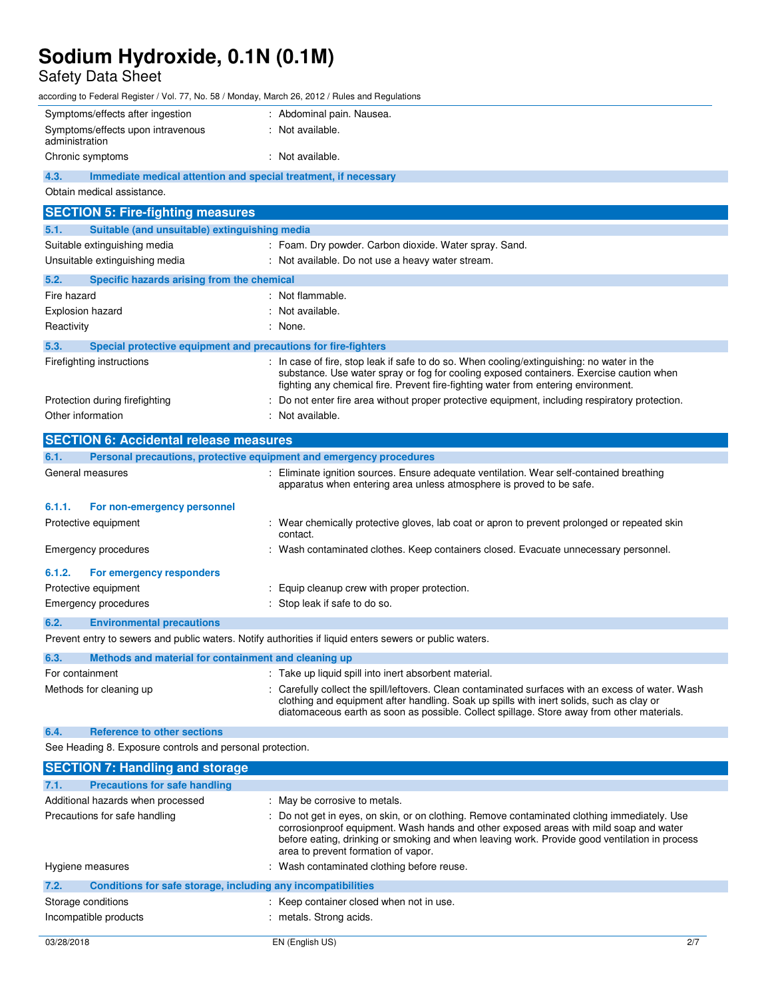Safety Data Sheet

according to Federal Register / Vol. 77, No. 58 / Monday, March 26, 2012 / Rules and Regulations

| Symptoms/effects after ingestion                    | : Abdominal pain. Nausea. |
|-----------------------------------------------------|---------------------------|
| Symptoms/effects upon intravenous<br>administration | Not available.            |
| Chronic symptoms                                    | Not available.            |

**4.3. Immediate medical attention and special treatment, if necessary** 

Obtain medical assistance.

| <b>SECTION 5: Fire-fighting measures</b>                                                                                     |                                                                                                                                                                                                                                                                             |  |  |
|------------------------------------------------------------------------------------------------------------------------------|-----------------------------------------------------------------------------------------------------------------------------------------------------------------------------------------------------------------------------------------------------------------------------|--|--|
| Suitable (and unsuitable) extinguishing media<br>5.1.                                                                        |                                                                                                                                                                                                                                                                             |  |  |
| Suitable extinguishing media                                                                                                 | : Foam. Dry powder. Carbon dioxide. Water spray. Sand.                                                                                                                                                                                                                      |  |  |
| Unsuitable extinguishing media                                                                                               | : Not available. Do not use a heavy water stream.                                                                                                                                                                                                                           |  |  |
| Specific hazards arising from the chemical<br>5.2.                                                                           |                                                                                                                                                                                                                                                                             |  |  |
| Fire hazard                                                                                                                  | : Not flammable.                                                                                                                                                                                                                                                            |  |  |
| Explosion hazard                                                                                                             | : Not available.                                                                                                                                                                                                                                                            |  |  |
| Reactivity                                                                                                                   | : None.                                                                                                                                                                                                                                                                     |  |  |
| 5.3.<br>Special protective equipment and precautions for fire-fighters                                                       |                                                                                                                                                                                                                                                                             |  |  |
| Firefighting instructions                                                                                                    | : In case of fire, stop leak if safe to do so. When cooling/extinguishing: no water in the<br>substance. Use water spray or fog for cooling exposed containers. Exercise caution when<br>fighting any chemical fire. Prevent fire-fighting water from entering environment. |  |  |
| Protection during firefighting                                                                                               | : Do not enter fire area without proper protective equipment, including respiratory protection.                                                                                                                                                                             |  |  |
| Other information                                                                                                            | : Not available.                                                                                                                                                                                                                                                            |  |  |
|                                                                                                                              |                                                                                                                                                                                                                                                                             |  |  |
|                                                                                                                              |                                                                                                                                                                                                                                                                             |  |  |
| <b>SECTION 6: Accidental release measures</b><br>Personal precautions, protective equipment and emergency procedures<br>6.1. |                                                                                                                                                                                                                                                                             |  |  |
| General measures                                                                                                             | Eliminate ignition sources. Ensure adequate ventilation. Wear self-contained breathing<br>apparatus when entering area unless atmosphere is proved to be safe.                                                                                                              |  |  |
| 6.1.1.<br>For non-emergency personnel                                                                                        |                                                                                                                                                                                                                                                                             |  |  |
| Protective equipment                                                                                                         | : Wear chemically protective gloves, lab coat or apron to prevent prolonged or repeated skin<br>contact.                                                                                                                                                                    |  |  |
| <b>Emergency procedures</b>                                                                                                  | : Wash contaminated clothes. Keep containers closed. Evacuate unnecessary personnel.                                                                                                                                                                                        |  |  |
| 6.1.2.<br>For emergency responders                                                                                           |                                                                                                                                                                                                                                                                             |  |  |
| Protective equipment                                                                                                         | Equip cleanup crew with proper protection.                                                                                                                                                                                                                                  |  |  |
| Emergency procedures                                                                                                         | : Stop leak if safe to do so.                                                                                                                                                                                                                                               |  |  |
| 6.2.<br><b>Environmental precautions</b>                                                                                     |                                                                                                                                                                                                                                                                             |  |  |

| 6.3.            | Methods and material for containment and cleaning up |                                                                                                                                                                                                                                                                                              |  |
|-----------------|------------------------------------------------------|----------------------------------------------------------------------------------------------------------------------------------------------------------------------------------------------------------------------------------------------------------------------------------------------|--|
| For containment |                                                      | : Take up liquid spill into inert absorbent material.                                                                                                                                                                                                                                        |  |
|                 | Methods for cleaning up                              | : Carefully collect the spill/leftovers. Clean contaminated surfaces with an excess of water. Wash<br>clothing and equipment after handling. Soak up spills with inert solids, such as clay or<br>diatomaceous earth as soon as possible. Collect spillage. Store away from other materials. |  |

## **6.4. Reference to other sections**

See Heading 8. Exposure controls and personal protection.

| <b>SECTION 7: Handling and storage</b>                               |                                                                                                                                                                                                                                                                                                                               |
|----------------------------------------------------------------------|-------------------------------------------------------------------------------------------------------------------------------------------------------------------------------------------------------------------------------------------------------------------------------------------------------------------------------|
| 7.1.<br><b>Precautions for safe handling</b>                         |                                                                                                                                                                                                                                                                                                                               |
| Additional hazards when processed                                    | : May be corrosive to metals.                                                                                                                                                                                                                                                                                                 |
| Precautions for safe handling                                        | : Do not get in eyes, on skin, or on clothing. Remove contaminated clothing immediately. Use<br>corrosionproof equipment. Wash hands and other exposed areas with mild soap and water<br>before eating, drinking or smoking and when leaving work. Provide good ventilation in process<br>area to prevent formation of vapor. |
| Hygiene measures                                                     | : Wash contaminated clothing before reuse.                                                                                                                                                                                                                                                                                    |
| 7.2.<br>Conditions for safe storage, including any incompatibilities |                                                                                                                                                                                                                                                                                                                               |
| Storage conditions                                                   | : Keep container closed when not in use.                                                                                                                                                                                                                                                                                      |
| Incompatible products                                                | : metals. Strong acids.                                                                                                                                                                                                                                                                                                       |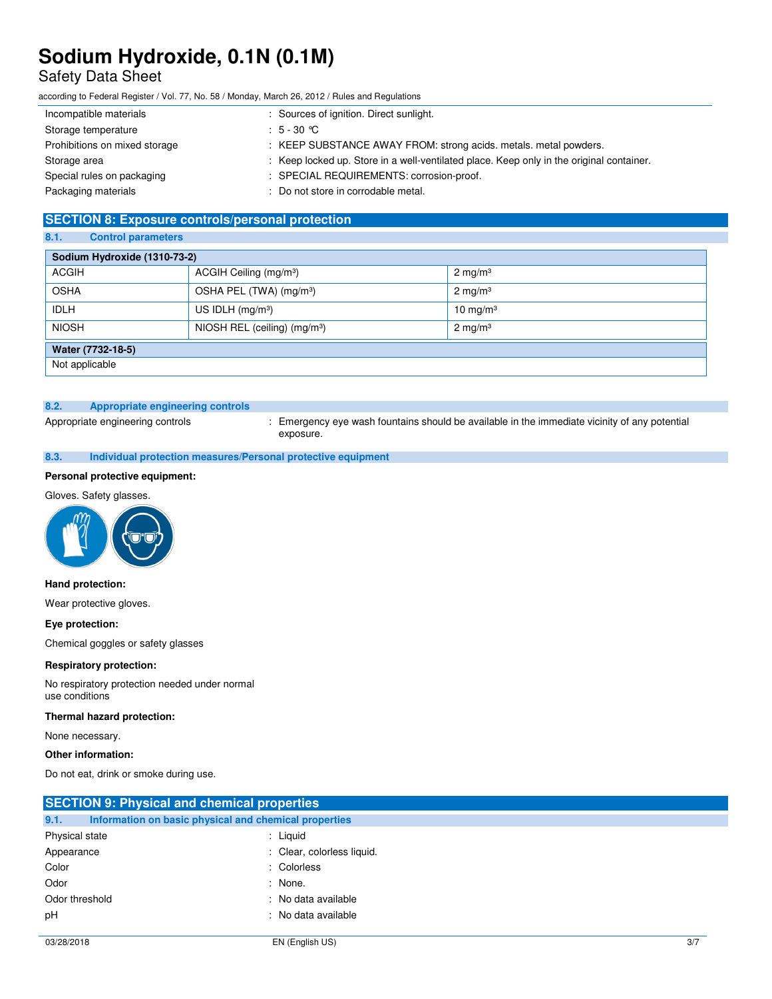## Safety Data Sheet

according to Federal Register / Vol. 77, No. 58 / Monday, March 26, 2012 / Rules and Regulations

| Incompatible materials        | : Sources of ignition. Direct sunlight.                                                  |
|-------------------------------|------------------------------------------------------------------------------------------|
| Storage temperature           | : $5 - 30$ °C                                                                            |
| Prohibitions on mixed storage | : KEEP SUBSTANCE AWAY FROM: strong acids. metals. metal powders.                         |
| Storage area                  | : Keep locked up. Store in a well-ventilated place. Keep only in the original container. |
| Special rules on packaging    | : SPECIAL REQUIREMENTS: corrosion-proof.                                                 |
| Packaging materials           | : Do not store in corrodable metal.                                                      |

### **SECTION 8: Exposure controls/personal protection**

### **8.1. Control parameters**

| Sodium Hydroxide (1310-73-2) |                                          |                     |
|------------------------------|------------------------------------------|---------------------|
| <b>ACGIH</b>                 | ACGIH Ceiling (mg/m <sup>3</sup> )       | $2 \text{ mg/m}^3$  |
| <b>OSHA</b>                  | OSHA PEL (TWA) (mg/m <sup>3</sup> )      | $2 \text{ mg/m}^3$  |
| <b>IDLH</b>                  | US IDLH $(mg/m3)$                        | $10 \text{ mg/m}^3$ |
| <b>NIOSH</b>                 | NIOSH REL (ceiling) (mg/m <sup>3</sup> ) | $2 \text{ mg/m}^3$  |
| Water (7732-18-5)            |                                          |                     |
| Not applicable               |                                          |                     |

### **8.2. Appropriate engineering controls**

Appropriate engineering controls : Emergency eye wash fountains should be available in the immediate vicinity of any potential exposure.

### **8.3. Individual protection measures/Personal protective equipment**

### **Personal protective equipment:**

### Gloves. Safety glasses.



### **Hand protection:**

Wear protective gloves.

### **Eye protection:**

Chemical goggles or safety glasses

#### **Respiratory protection:**

No respiratory protection needed under normal use conditions

#### **Thermal hazard protection:**

None necessary.

### **Other information:**

Do not eat, drink or smoke during use.

| <b>SECTION 9: Physical and chemical properties</b> |                                                       |     |
|----------------------------------------------------|-------------------------------------------------------|-----|
| 9.1.                                               | Information on basic physical and chemical properties |     |
| Physical state                                     | : Liquid                                              |     |
| Appearance                                         | : Clear, colorless liquid.                            |     |
| Color                                              | : Colorless                                           |     |
| Odor                                               | : None.                                               |     |
| Odor threshold                                     | : No data available                                   |     |
| pH                                                 | : No data available                                   |     |
|                                                    |                                                       |     |
| 03/28/2018                                         | EN (English US)                                       | 3/7 |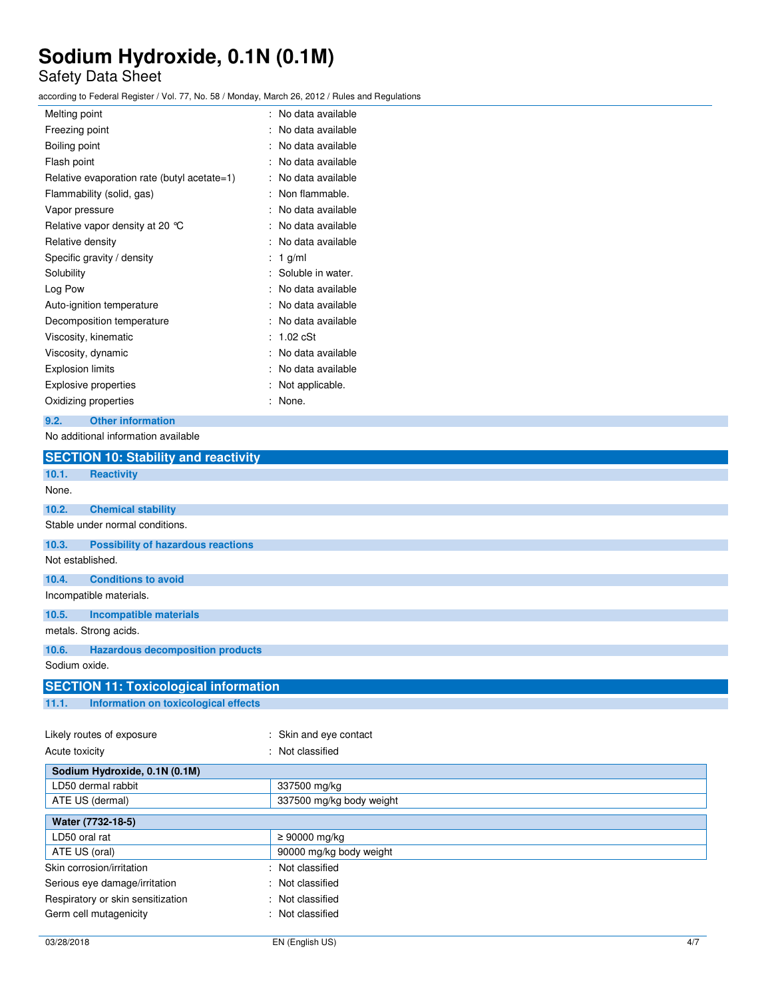# Safety Data Sheet

according to Federal Register / Vol. 77, No. 58 / Monday, March 26, 2012 / Rules and Regulations

| Melting point                               | No data available |
|---------------------------------------------|-------------------|
| Freezing point                              | No data available |
| Boiling point                               | No data available |
| Flash point                                 | No data available |
| Relative evaporation rate (butyl acetate=1) | No data available |
| Flammability (solid, gas)                   | Non flammable.    |
| Vapor pressure                              | No data available |
| Relative vapor density at 20 °C             | No data available |
| Relative density                            | No data available |
| Specific gravity / density                  | 1 g/ml            |
| Solubility                                  | Soluble in water. |
| Log Pow                                     | No data available |
| Auto-ignition temperature                   | No data available |
| Decomposition temperature                   | No data available |
| Viscosity, kinematic                        | $1.02$ $cSt$      |
| Viscosity, dynamic                          | No data available |
| <b>Explosion limits</b>                     | No data available |
| <b>Explosive properties</b>                 | Not applicable.   |
| Oxidizing properties                        | None.             |
|                                             |                   |

## **9.2. Other information**

No additional information available

| <b>SECTION 10: Stability and reactivity</b>        |                          |
|----------------------------------------------------|--------------------------|
| <b>Reactivity</b><br>10.1.                         |                          |
| None.                                              |                          |
| <b>Chemical stability</b><br>10.2.                 |                          |
| Stable under normal conditions.                    |                          |
| 10.3.<br><b>Possibility of hazardous reactions</b> |                          |
| Not established.                                   |                          |
| 10.4.<br><b>Conditions to avoid</b>                |                          |
| Incompatible materials.                            |                          |
| 10.5.<br><b>Incompatible materials</b>             |                          |
| metals. Strong acids.                              |                          |
| <b>Hazardous decomposition products</b><br>10.6.   |                          |
| Sodium oxide.                                      |                          |
| <b>SECTION 11: Toxicological information</b>       |                          |
| 11.1.<br>Information on toxicological effects      |                          |
|                                                    |                          |
| Likely routes of exposure                          | : Skin and eye contact   |
| Acute toxicity                                     | : Not classified         |
| Sodium Hydroxide, 0.1N (0.1M)                      |                          |
| LD50 dermal rabbit                                 | 337500 mg/kg             |
| ATE US (dermal)                                    | 337500 mg/kg body weight |
| Water (7732-18-5)                                  |                          |
| LD50 oral rat                                      | $\geq 90000$ mg/kg       |
| ATE US (oral)                                      | 90000 mg/kg body weight  |
| Skin corrosion/irritation                          | : Not classified         |
| Serious eye damage/irritation                      | Not classified           |
| Respiratory or skin sensitization                  | Not classified           |
| Germ cell mutagenicity                             | : Not classified         |
|                                                    |                          |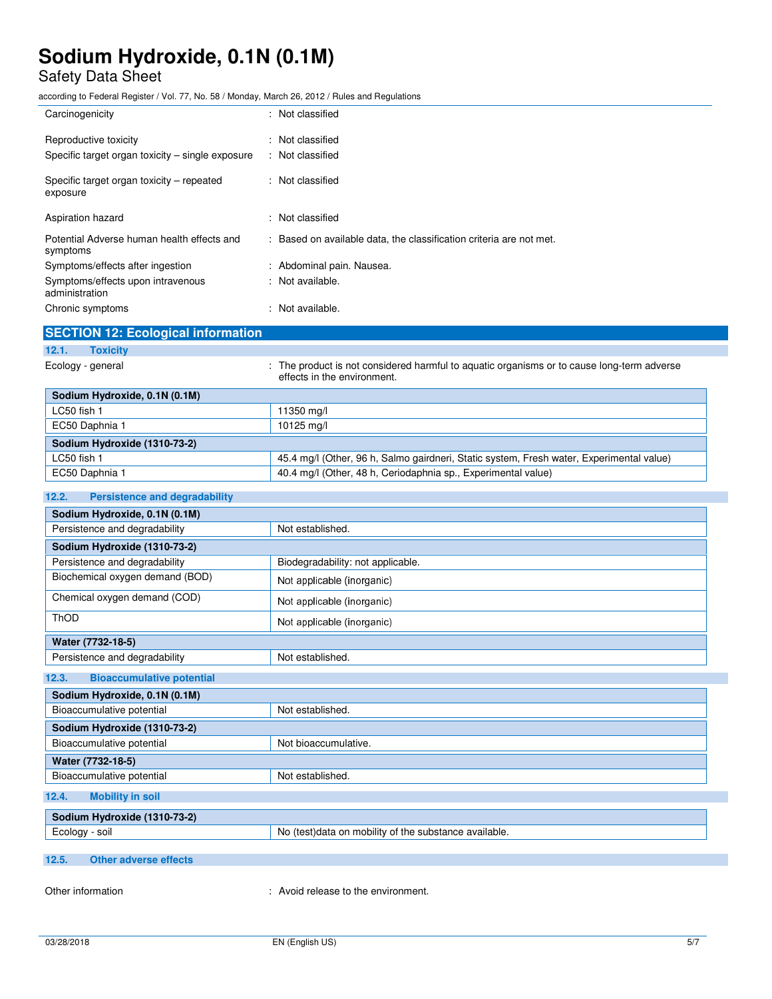# Safety Data Sheet

according to Federal Register / Vol. 77, No. 58 / Monday, March 26, 2012 / Rules and Regulations

| Carcinogenicity                                        | : Not classified                                                    |
|--------------------------------------------------------|---------------------------------------------------------------------|
| Reproductive toxicity                                  | : Not classified                                                    |
| Specific target organ toxicity – single exposure       | : Not classified                                                    |
| Specific target organ toxicity – repeated<br>exposure  | : Not classified                                                    |
| Aspiration hazard                                      | : Not classified                                                    |
| Potential Adverse human health effects and<br>symptoms | : Based on available data, the classification criteria are not met. |
| Symptoms/effects after ingestion                       | : Abdominal pain. Nausea.                                           |
| Symptoms/effects upon intravenous<br>administration    | : Not available.                                                    |
| Chronic symptoms                                       | : Not available.                                                    |
|                                                        |                                                                     |

| <b>SECTION 12: Ecological information</b> |                                                                                                                           |
|-------------------------------------------|---------------------------------------------------------------------------------------------------------------------------|
| 12.1.<br><b>Toxicity</b>                  |                                                                                                                           |
| Ecology - general                         | : The product is not considered harmful to aguatic organisms or to cause long-term adverse<br>effects in the environment. |
| Sodium Hydroxide, 0.1N (0.1M)             |                                                                                                                           |

| <u>888888888888888888888888888888888888</u> |                                                                                          |
|---------------------------------------------|------------------------------------------------------------------------------------------|
| LC50 fish 1                                 | 11350 mg/l                                                                               |
| EC50 Daphnia 1                              | 10125 mg/l                                                                               |
| Sodium Hydroxide (1310-73-2)                |                                                                                          |
| LC50 fish 1                                 | 45.4 mg/l (Other, 96 h, Salmo gairdneri, Static system, Fresh water, Experimental value) |
| EC50 Daphnia 1                              | 40.4 mg/l (Other, 48 h, Ceriodaphnia sp., Experimental value)                            |

### **12.2. Persistence and degradability**

| Sodium Hydroxide, 0.1N (0.1M)             |                                                       |  |
|-------------------------------------------|-------------------------------------------------------|--|
| Persistence and degradability             | Not established.                                      |  |
| Sodium Hydroxide (1310-73-2)              |                                                       |  |
| Persistence and degradability             | Biodegradability: not applicable.                     |  |
| Biochemical oxygen demand (BOD)           | Not applicable (inorganic)                            |  |
| Chemical oxygen demand (COD)              | Not applicable (inorganic)                            |  |
| ThOD                                      | Not applicable (inorganic)                            |  |
| Water (7732-18-5)                         |                                                       |  |
| Persistence and degradability             | Not established.                                      |  |
| 12.3.<br><b>Bioaccumulative potential</b> |                                                       |  |
| Sodium Hydroxide, 0.1N (0.1M)             |                                                       |  |
| Bioaccumulative potential                 | Not established.                                      |  |
| Sodium Hydroxide (1310-73-2)              |                                                       |  |
| Bioaccumulative potential                 | Not bioaccumulative.                                  |  |
| Water (7732-18-5)                         |                                                       |  |
| Bioaccumulative potential                 | Not established.                                      |  |
| 12.4.<br><b>Mobility in soil</b>          |                                                       |  |
| Sodium Hydroxide (1310-73-2)              |                                                       |  |
| Ecology - soil                            | No (test)data on mobility of the substance available. |  |

### **12.5. Other adverse effects**

Other information  $\qquad \qquad :$  Avoid release to the environment.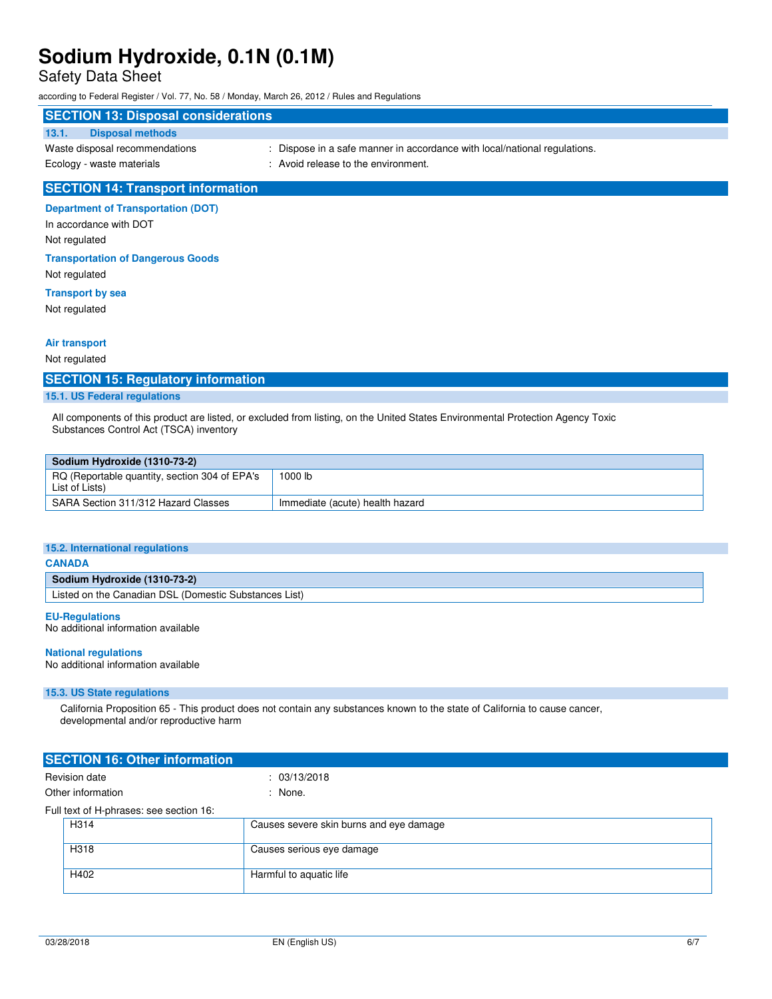## Safety Data Sheet

according to Federal Register / Vol. 77, No. 58 / Monday, March 26, 2012 / Rules and Regulations

### **SECTION 13: Disposal considerations**

## **13.1. Disposal methods**

- 
- Waste disposal recommendations : Dispose in a safe manner in accordance with local/national regulations.
- Ecology waste materials **in the environment.** : Avoid release to the environment.
- 

### **SECTION 14: Transport information**

### **Department of Transportation (DOT)**

In accordance with DOT Not regulated

#### **Transportation of Dangerous Goods**

Not regulated

### **Transport by sea**

Not regulated

### **Air transport**

Not regulated

### **SECTION 15: Regulatory information**

### **15.1. US Federal regulations**

All components of this product are listed, or excluded from listing, on the United States Environmental Protection Agency Toxic Substances Control Act (TSCA) inventory

| Sodium Hydroxide (1310-73-2)                                    |                                 |  |
|-----------------------------------------------------------------|---------------------------------|--|
| RQ (Reportable quantity, section 304 of EPA's<br>List of Lists) | 1000 lb                         |  |
| SARA Section 311/312 Hazard Classes                             | Immediate (acute) health hazard |  |

#### **15.2. International regulations**

#### **CANADA**

### **Sodium Hydroxide (1310-73-2)**

Listed on the Canadian DSL (Domestic Substances List)

### **EU-Regulations**

No additional information available

#### **National regulations**

No additional information available

#### **15.3. US State regulations**

 California Proposition 65 - This product does not contain any substances known to the state of California to cause cancer, developmental and/or reproductive harm

| <b>SECTION 16: Other information</b>    |                                         |  |
|-----------------------------------------|-----------------------------------------|--|
| Revision date                           | : 03/13/2018                            |  |
| Other information                       | : None.                                 |  |
| Full text of H-phrases: see section 16: |                                         |  |
| H314                                    | Causes severe skin burns and eye damage |  |
| H318                                    | Causes serious eye damage               |  |
| H402                                    | Harmful to aquatic life                 |  |